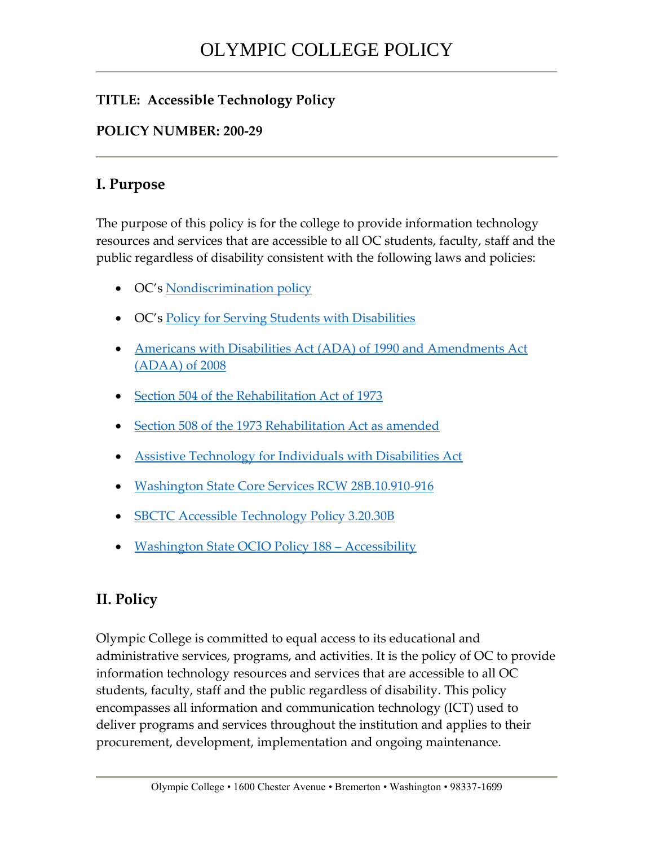## **TITLE: Accessible Technology Policy**

## **POLICY NUMBER: 200-29**

## **I. Purpose**

The purpose of this policy is for the college to provide information technology resources and services that are accessible to all OC students, faculty, staff and the public regardless of disability consistent with the following laws and policies:

- OC's [Nondiscrimination policy](http://apps.leg.wa.gov/wac/default.aspx?cite=132C-10-160)
- OC's [Policy for Serving Students with Disabilities](https://www.olympic.edu/sites/default/files/files/30002ServingStudentswithDisabilitiesPolicy.pdf)
- [Americans with Disabilities Act \(ADA\) of 1990 and Amendments Act](https://www.ada.gov/2010_regs.htm)  [\(ADAA\) of 2008](https://www.ada.gov/2010_regs.htm)
- [Section 504 of the Rehabilitation Act of 1973](https://www.dol.gov/oasam/regs/statutes/sec504.htm)
- [Section 508 of the 1973 Rehabilitation Act as amended](https://www.dol.gov/oasam/regs/statutes/sec508.htm)
- [Assistive Technology for Individuals with Disabilities Act](https://www.law.cornell.edu/uscode/text/29/chapter-31)
- [Washington State Core Services RCW 28B.10.910-916](http://apps.leg.wa.gov/Rcw/default.aspx?cite=28B.10.910)
- [SBCTC Accessible Technology Policy 3.20.30B](http://www.sbctc.edu/colleges-staff/policies-rules/policy-manual/chapter-3.aspx)
- [Washington State OCIO Policy 188](https://ocio.wa.gov/policies/policy-188-accessibility)  Accessibility

## **II. Policy**

Olympic College is committed to equal access to its educational and administrative services, programs, and activities. It is the policy of OC to provide information technology resources and services that are accessible to all OC students, faculty, staff and the public regardless of disability. This policy encompasses all information and communication technology (ICT) used to deliver programs and services throughout the institution and applies to their procurement, development, implementation and ongoing maintenance.